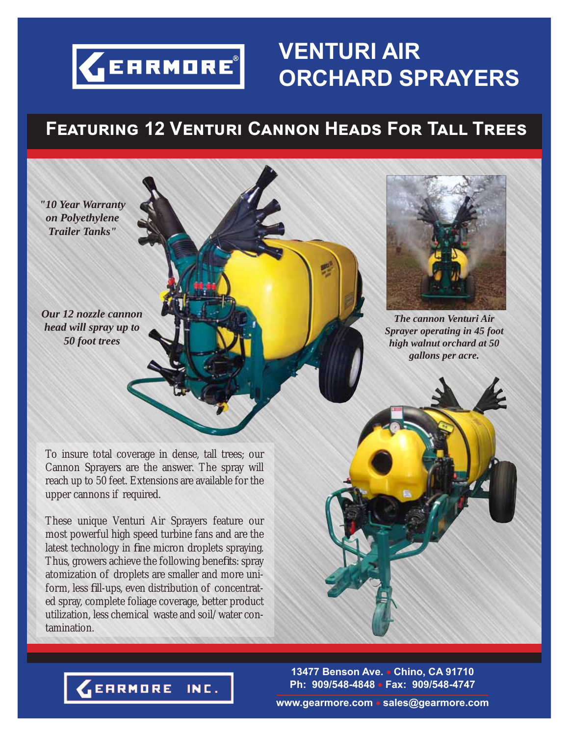

# **VENTURI AIR ORCHARD SPRAYERS**

### **Fඍඉගඝකඑඖඏ 12 Vඍඖගඝකඑ Cඉඖඖඖ Hඍඉඌඛ Fක Tඉඔඔ Tකඍඍඛ**

*"10 Year Warranty on Polyethylene Trailer Tanks"*

*Our 12 nozzle cannon head will spray up to 50 foot trees*

To insure total coverage in dense, tall trees; our Cannon Sprayers are the answer. The spray will reach up to 50 feet. Extensions are available for the upper cannons if required.

These unique Venturi Air Sprayers feature our most powerful high speed turbine fans and are the latest technology in fine micron droplets spraying. Thus, growers achieve the following benefits: spray atomization of droplets are smaller and more uniform, less fill-ups, even distribution of concentrated spray, complete foliage coverage, better product utilization, less chemical waste and soil/water contamination.



*The cannon Venturi Air Sprayer operating in 45 foot high walnut orchard at 50 gallons per acre.*

**13477 Benson Ave. Chino, CA 91710 Ph: 909/548-4848 Fax: 909/548-4747**

**EARMORE** INC.

**www.gearmore.com sales@gearmore.com**